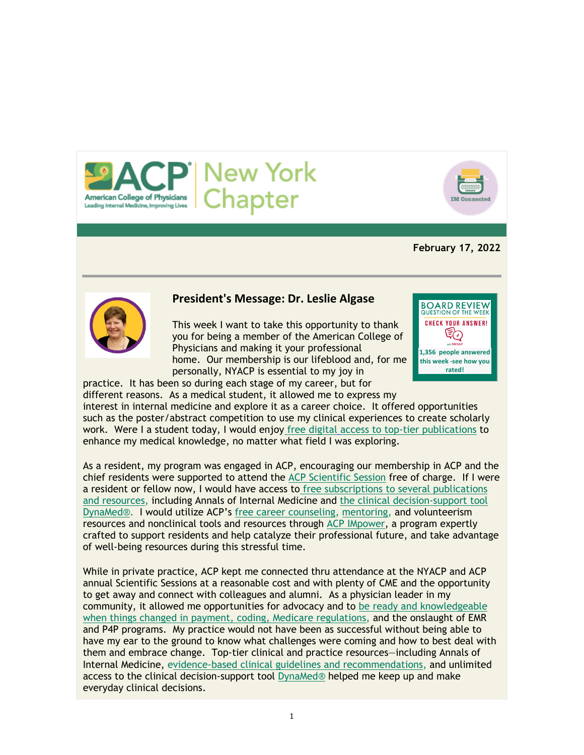



# **February 17, 2022**



# **President's Message: Dr. Leslie Algase**

This week I want to take this opportunity to thank you for being a member of the American College of Physicians and making it your professional home. Our membership is our lifeblood and, for me personally, NYACP is essential to my joy in



practice. It has been so during each stage of my career, but for different reasons. As a medical student, it allowed me to express my

interest in internal medicine and explore it as a career choice. It offered opportunities such as the poster/abstract competition to use my clinical experiences to create scholarly work. Were I a student today, I would enjoy free digital access to top-tier publications to enhance my medical knowledge, no matter what field I was exploring.

As a resident, my program was engaged in ACP, encouraging our membership in ACP and the chief residents were supported to attend the ACP Scientific Session free of charge. If I were a resident or fellow now, I would have access to free subscriptions to several publications and resources, including Annals of Internal Medicine and the clinical decision-support tool DynaMed®. I would utilize ACP's free career counseling, mentoring, and volunteerism resources and nonclinical tools and resources through ACP IMpower, a program expertly crafted to support residents and help catalyze their professional future, and take advantage of well-being resources during this stressful time.

While in private practice, ACP kept me connected thru attendance at the NYACP and ACP annual Scientific Sessions at a reasonable cost and with plenty of CME and the opportunity to get away and connect with colleagues and alumni. As a physician leader in my community, it allowed me opportunities for advocacy and to be ready and knowledgeable when things changed in payment, coding, Medicare regulations, and the onslaught of EMR and P4P programs. My practice would not have been as successful without being able to have my ear to the ground to know what challenges were coming and how to best deal with them and embrace change. Top-tier clinical and practice resources—including Annals of Internal Medicine, evidence-based clinical guidelines and recommendations, and unlimited access to the clinical decision-support tool DynaMed® helped me keep up and make everyday clinical decisions.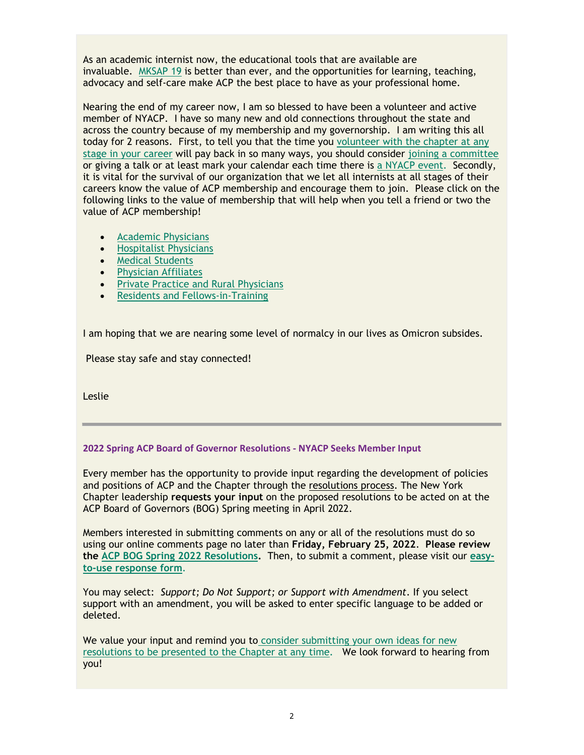As an academic internist now, the educational tools that are available are invaluable. MKSAP 19 is better than ever, and the opportunities for learning, teaching, advocacy and self-care make ACP the best place to have as your professional home.

Nearing the end of my career now, I am so blessed to have been a volunteer and active member of NYACP. I have so many new and old connections throughout the state and across the country because of my membership and my governorship. I am writing this all today for 2 reasons. First, to tell you that the time you volunteer with the chapter at any stage in your career will pay back in so many ways, you should consider joining a committee or giving a talk or at least mark your calendar each time there is a NYACP event. Secondly, it is vital for the survival of our organization that we let all internists at all stages of their careers know the value of ACP membership and encourage them to join. Please click on the following links to the value of membership that will help when you tell a friend or two the value of ACP membership!

- Academic Physicians
- **•** Hospitalist Physicians
- Medical Students
- **•** Physician Affiliates
- **•** Private Practice and Rural Physicians
- Residents and Fellows-in-Training

I am hoping that we are nearing some level of normalcy in our lives as Omicron subsides.

Please stay safe and stay connected!

Leslie

## **2022 Spring ACP Board of Governor Resolutions ‐ NYACP Seeks Member Input**

Every member has the opportunity to provide input regarding the development of policies and positions of ACP and the Chapter through the resolutions process. The New York Chapter leadership **requests your input** on the proposed resolutions to be acted on at the ACP Board of Governors (BOG) Spring meeting in April 2022.

Members interested in submitting comments on any or all of the resolutions must do so using our online comments page no later than **Friday, February 25, 2022**. **Please review the ACP BOG Spring 2022 Resolutions.** Then, to submit a comment, please visit our **easyto-use response form**.

You may select: *Support; Do Not Support; or Support with Amendment*. If you select support with an amendment, you will be asked to enter specific language to be added or deleted.

We value your input and remind you to consider submitting your own ideas for new resolutions to be presented to the Chapter at any time. We look forward to hearing from you!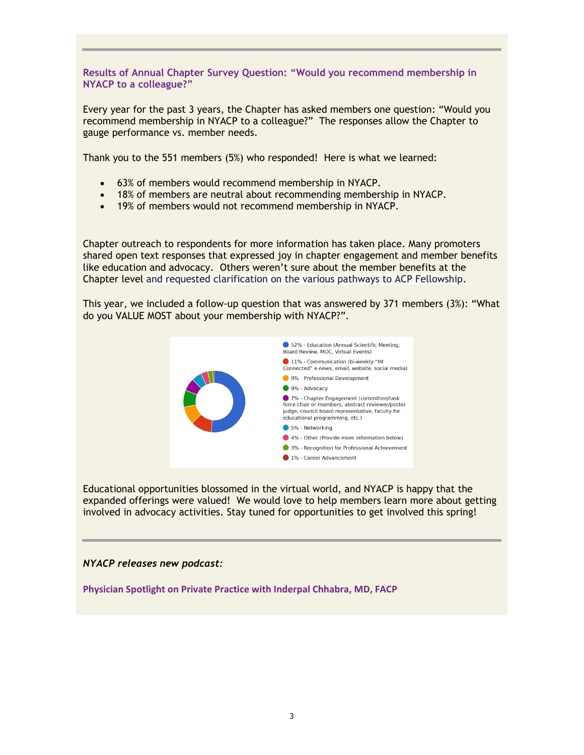**Results of Annual Chapter Survey Question: "Would you recommend membership in NYACP to a colleague?"**

Every year for the past 3 years, the Chapter has asked members one question: "Would you recommend membership in NYACP to a colleague?" The responses allow the Chapter to gauge performance vs. member needs.

Thank you to the 551 members (5%) who responded! Here is what we learned:

- 63% of members would recommend membership in NYACP.
- 18% of members are neutral about recommending membership in NYACP.
- 19% of members would not recommend membership in NYACP.

Chapter outreach to respondents for more information has taken place. Many promoters shared open text responses that expressed joy in chapter engagement and member benefits like education and advocacy. Others weren't sure about the member benefits at the Chapter level and requested clarification on the various pathways to ACP Fellowship.

This year, we included a follow-up question that was answered by 371 members (3%): "What do you VALUE MOST about your membership with NYACP?".



Educational opportunities blossomed in the virtual world, and NYACP is happy that the expanded offerings were valued! We would love to help members learn more about getting involved in advocacy activities. Stay tuned for opportunities to get involved this spring!

#### *NYACP releases new podcast:*

**Physician Spotlight on Private Practice with Inderpal Chhabra, MD, FACP**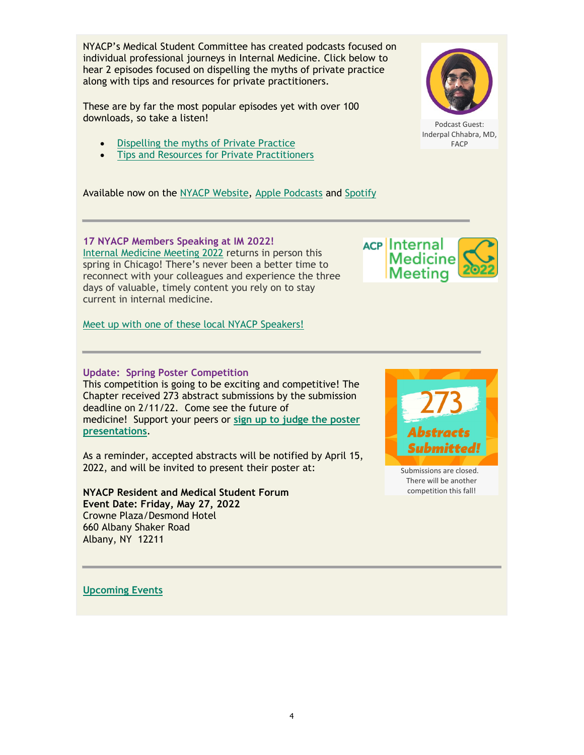NYACP's Medical Student Committee has created podcasts focused on individual professional journeys in Internal Medicine. Click below to hear 2 episodes focused on dispelling the myths of private practice along with tips and resources for private practitioners.

These are by far the most popular episodes yet with over 100 downloads, so take a listen!

- Dispelling the myths of Private Practice
- Tips and Resources for Private Practitioners

Available now on the NYACP Website, Apple Podcasts and Spotify

## **17 NYACP Members Speaking at IM 2022!**

Internal Medicine Meeting 2022 returns in person this spring in Chicago! There's never been a better time to reconnect with your colleagues and experience the three days of valuable, timely content you rely on to stay current in internal medicine.

Meet up with one of these local NYACP Speakers!

# **Update: Spring Poster Competition**

This competition is going to be exciting and competitive! The Chapter received 273 abstract submissions by the submission deadline on 2/11/22. Come see the future of medicine! Support your peers or **sign up to judge the poster presentations**.

As a reminder, accepted abstracts will be notified by April 15, 2022, and will be invited to present their poster at:

## **NYACP Resident and Medical Student Forum Event Date: Friday, May 27, 2022** Crowne Plaza/Desmond Hotel

660 Albany Shaker Road Albany, NY 12211

**Upcoming Events**



Podcast Guest: Inderpal Chhabra, MD, FACP





Submissions are closed. There will be another competition this fall!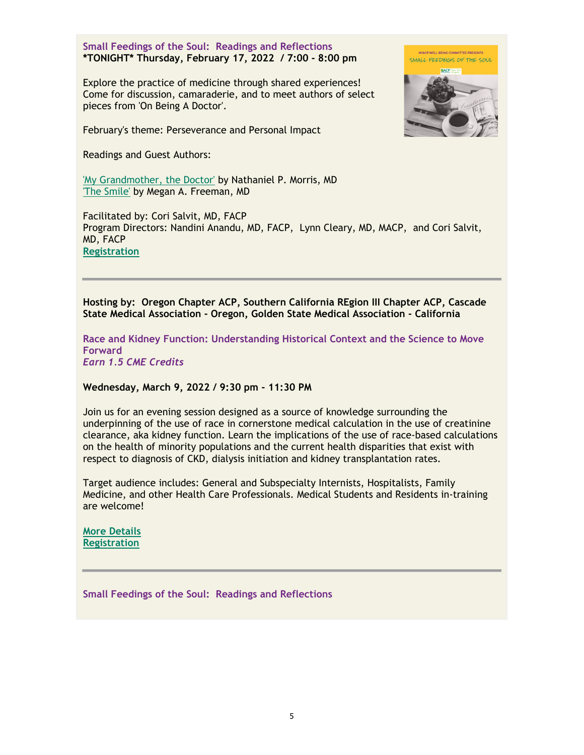**Small Feedings of the Soul: Readings and Reflections \*TONIGHT\* Thursday, February 17, 2022 / 7:00 - 8:00 pm**

Explore the practice of medicine through shared experiences! Come for discussion, camaraderie, and to meet authors of select pieces from 'On Being A Doctor'.

February's theme: Perseverance and Personal Impact

Readings and Guest Authors:

'My Grandmother, the Doctor' by Nathaniel P. Morris, MD 'The Smile' by Megan A. Freeman, MD

Facilitated by: Cori Salvit, MD, FACP Program Directors: Nandini Anandu, MD, FACP, Lynn Cleary, MD, MACP, and Cori Salvit, MD, FACP **Registration**

**Hosting by: Oregon Chapter ACP, Southern California REgion III Chapter ACP, Cascade State Medical Association - Oregon, Golden State Medical Association - California**

**Race and Kidney Function: Understanding Historical Context and the Science to Move Forward** *Earn 1.5 CME Credits*

#### **Wednesday, March 9, 2022 / 9:30 pm - 11:30 PM**

Join us for an evening session designed as a source of knowledge surrounding the underpinning of the use of race in cornerstone medical calculation in the use of creatinine clearance, aka kidney function. Learn the implications of the use of race-based calculations on the health of minority populations and the current health disparities that exist with respect to diagnosis of CKD, dialysis initiation and kidney transplantation rates.

Target audience includes: General and Subspecialty Internists, Hospitalists, Family Medicine, and other Health Care Professionals. Medical Students and Residents in-training are welcome!

**More Details Registration**

**Small Feedings of the Soul: Readings and Reflections**



NVACD WELL BEING COMMITTEE DDESENTS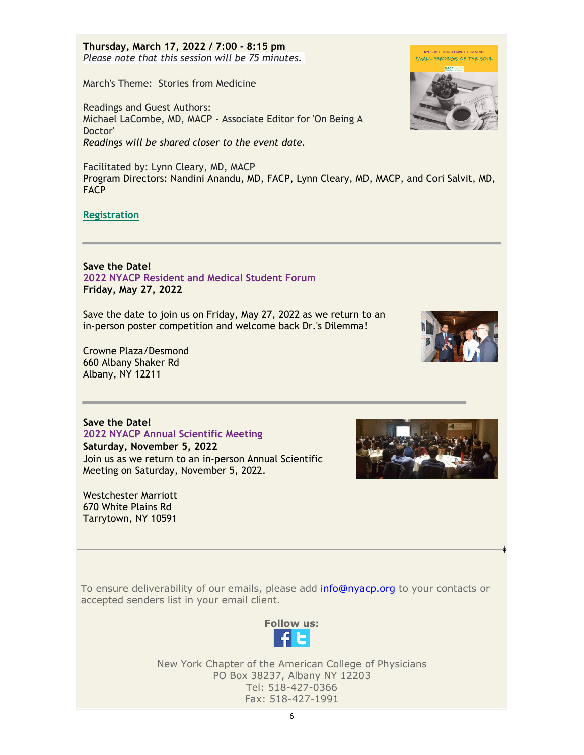**Thursday, March 17, 2022 / 7:00 - 8:15 pm** *Please note that this session will be 75 minutes.* 

March's Theme: Stories from Medicine

Readings and Guest Authors: Michael LaCombe, MD, MACP - Associate Editor for 'On Being A Doctor' *Readings will be shared closer to the event date.*

Facilitated by: Lynn Cleary, MD, MACP Program Directors: Nandini Anandu, MD, FACP, Lynn Cleary, MD, MACP, and Cori Salvit, MD, **FACP** 

# **Registration**

**Save the Date! 2022 NYACP Resident and Medical Student Forum Friday, May 27, 2022**

Save the date to join us on Friday, May 27, 2022 as we return to an in-person poster competition and welcome back Dr.'s Dilemma!

Crowne Plaza/Desmond 660 Albany Shaker Rd Albany, NY 12211



**Saturday, November 5, 2022** Join us as we return to an in-person Annual Scientific Meeting on Saturday, November 5, 2022.

Westchester Marriott 670 White Plains Rd Tarrytown, NY 10591



To ensure deliverability of our emails, please add info@nyacp.org to your contacts or accepted senders list in your email client.



New York Chapter of the American College of Physicians PO Box 38237, Albany NY 12203 Tel: 518-427-0366 Fax: 518-427-1991





 $\ddagger$